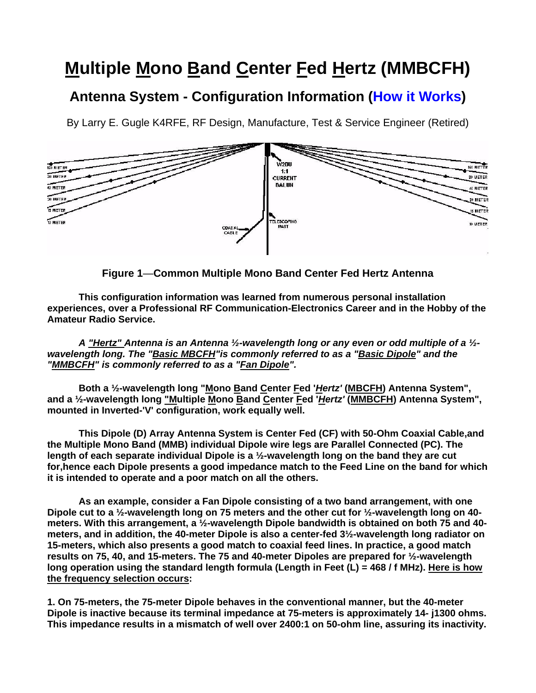## **Multiple Mono Band Center Fed Hertz (MMBCFH)**

## **Antenna System - Configuration Information (How it Works)**

By Larry E. Gugle K4RFE, RF Design, Manufacture, Test & Service Engineer (Retired)



**Figure 1**—**Common Multiple Mono Band Center Fed Hertz Antenna**

**This configuration information was learned from numerous personal installation experiences, over a Professional RF Communication-Electronics Career and in the Hobby of the Amateur Radio Service.**

*A "Hertz" Antenna is an Antenna ½-wavelength long or any even or odd multiple of a ½ wavelength long. The "Basic MBCFH"is commonly referred to as a "Basic Dipole" and the "MMBCFH" is commonly referred to as a "Fan Dipole".* 

Both a 1/<sub>2</sub>-wavelength long "Mono Band Center Fed '*Hertz'* (MBCFH) Antenna System", **and a ½-wavelength long "Multiple Mono Band Center Fed '***Hertz'* **(MMBCFH) Antenna System", mounted in Inverted-'V' configuration, work equally well.** 

**This Dipole (D) Array Antenna System is Center Fed (CF) with 50-Ohm Coaxial Cable,and the Multiple Mono Band (MMB) individual Dipole wire legs are Parallel Connected (PC). The length of each separate individual Dipole is a ½-wavelength long on the band they are cut for,hence each Dipole presents a good impedance match to the Feed Line on the band for which it is intended to operate and a poor match on all the others.**

**As an example, consider a Fan Dipole consisting of a two band arrangement, with one Dipole cut to a ½-wavelength long on 75 meters and the other cut for ½-wavelength long on 40 meters. With this arrangement, a ½-wavelength Dipole bandwidth is obtained on both 75 and 40 meters, and in addition, the 40-meter Dipole is also a center-fed 3½-wavelength long radiator on 15-meters, which also presents a good match to coaxial feed lines. In practice, a good match results on 75, 40, and 15-meters. The 75 and 40-meter Dipoles are prepared for ½-wavelength long operation using the standard length formula (Length in Feet (L) = 468 / f MHz). Here is how the frequency selection occurs:**

**1. On 75-meters, the 75-meter Dipole behaves in the conventional manner, but the 40-meter Dipole is inactive because its terminal impedance at 75-meters is approximately 14- j1300 ohms. This impedance results in a mismatch of well over 2400:1 on 50-ohm line, assuring its inactivity.**